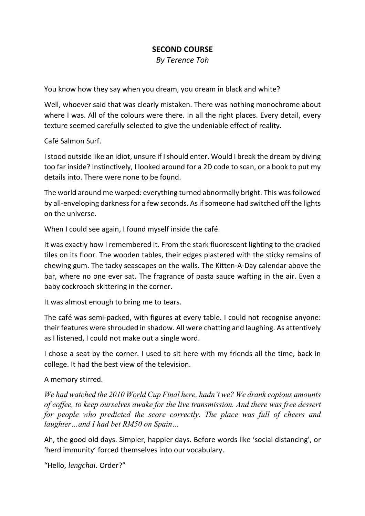## **SECOND COURSE**

*By Terence Toh*

You know how they say when you dream, you dream in black and white?

Well, whoever said that was clearly mistaken. There was nothing monochrome about where I was. All of the colours were there. In all the right places. Every detail, every texture seemed carefully selected to give the undeniable effect of reality.

Café Salmon Surf.

Istood outside like an idiot, unsure if Ishould enter. Would I break the dream by diving too far inside? Instinctively, I looked around for a 2D code to scan, or a book to put my details into. There were none to be found.

The world around me warped: everything turned abnormally bright. This wasfollowed by all-enveloping darkness for a few seconds. As if someone had switched off the lights on the universe.

When I could see again, I found myself inside the café.

It was exactly how I remembered it. From the stark fluorescent lighting to the cracked tiles on its floor. The wooden tables, their edges plastered with the sticky remains of chewing gum. The tacky seascapes on the walls. The Kitten-A-Day calendar above the bar, where no one ever sat. The fragrance of pasta sauce wafting in the air. Even a baby cockroach skittering in the corner.

It was almost enough to bring me to tears.

The café was semi-packed, with figures at every table. I could not recognise anyone: their features were shrouded in shadow. All were chatting and laughing. As attentively as I listened, I could not make out a single word.

I chose a seat by the corner. I used to sit here with my friends all the time, back in college. It had the best view of the television.

A memory stirred.

*We had watched the 2010 World Cup Final here, hadn't we? We drank copious amounts of coffee, to keep ourselves awake for the live transmission. And there was free dessert for people who predicted the score correctly. The place was full of cheers and laughter…and I had bet RM50 on Spain…*

Ah, the good old days. Simpler, happier days. Before words like 'social distancing', or 'herd immunity' forced themselves into our vocabulary.

"Hello, *lengchai.* Order?"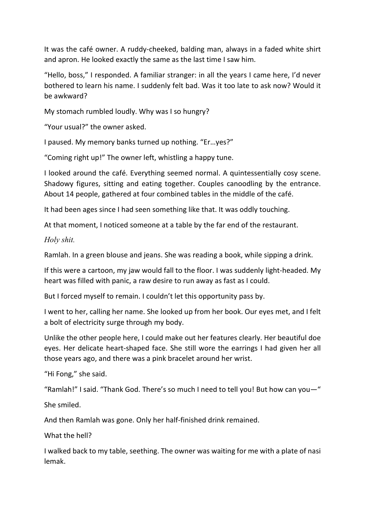It was the café owner. A ruddy-cheeked, balding man, always in a faded white shirt and apron. He looked exactly the same as the last time I saw him.

"Hello, boss," I responded. A familiar stranger: in all the years I came here, I'd never bothered to learn his name. I suddenly felt bad. Was it too late to ask now? Would it be awkward?

My stomach rumbled loudly. Why was I so hungry?

"Your usual?" the owner asked.

I paused. My memory banks turned up nothing. "Er…yes?"

"Coming right up!" The owner left, whistling a happy tune.

I looked around the café. Everything seemed normal. A quintessentially cosy scene. Shadowy figures, sitting and eating together. Couples canoodling by the entrance. About 14 people, gathered at four combined tables in the middle of the café.

It had been ages since I had seen something like that. It was oddly touching.

At that moment, I noticed someone at a table by the far end of the restaurant.

*Holy shit.*

Ramlah. In a green blouse and jeans. She was reading a book, while sipping a drink.

If this were a cartoon, my jaw would fall to the floor. I was suddenly light-headed. My heart was filled with panic, a raw desire to run away as fast as I could.

But I forced myself to remain. I couldn't let this opportunity pass by.

I went to her, calling her name. She looked up from her book. Our eyes met, and I felt a bolt of electricity surge through my body.

Unlike the other people here, I could make out her features clearly. Her beautiful doe eyes. Her delicate heart-shaped face. She still wore the earrings I had given her all those years ago, and there was a pink bracelet around her wrist.

"Hi Fong," she said.

"Ramlah!" I said. "Thank God. There's so much I need to tell you! But how can you—"

She smiled.

And then Ramlah was gone. Only her half-finished drink remained.

What the hell?

I walked back to my table, seething. The owner was waiting for me with a plate of nasi lemak.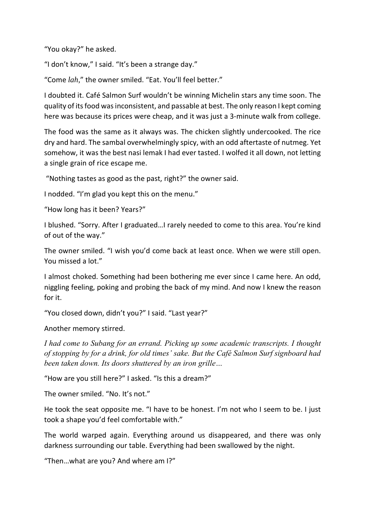"You okay?" he asked.

"I don't know," I said. "It's been a strange day."

"Come *lah*," the owner smiled. "Eat. You'll feel better."

I doubted it. Café Salmon Surf wouldn't be winning Michelin stars any time soon. The quality of its food was inconsistent, and passable at best. The only reason I kept coming here was because its prices were cheap, and it was just a 3-minute walk from college.

The food was the same as it always was. The chicken slightly undercooked. The rice dry and hard. The sambal overwhelmingly spicy, with an odd aftertaste of nutmeg. Yet somehow, it was the best nasi lemak I had ever tasted. I wolfed it all down, not letting a single grain of rice escape me.

"Nothing tastes as good as the past, right?" the owner said.

I nodded. "I'm glad you kept this on the menu."

"How long has it been? Years?"

I blushed. "Sorry. After I graduated…I rarely needed to come to this area. You're kind of out of the way."

The owner smiled. "I wish you'd come back at least once. When we were still open. You missed a lot."

I almost choked. Something had been bothering me ever since I came here. An odd, niggling feeling, poking and probing the back of my mind. And now I knew the reason for it.

"You closed down, didn't you?" I said. "Last year?"

Another memory stirred.

*I had come to Subang for an errand. Picking up some academic transcripts. I thought of stopping by for a drink, for old times' sake. But the Café Salmon Surf signboard had been taken down. Its doors shuttered by an iron grille…*

"How are you still here?" I asked. "Is this a dream?"

The owner smiled. "No. It's not."

He took the seat opposite me. "I have to be honest. I'm not who I seem to be. I just took a shape you'd feel comfortable with."

The world warped again. Everything around us disappeared, and there was only darkness surrounding our table. Everything had been swallowed by the night.

"Then…what are you? And where am I?"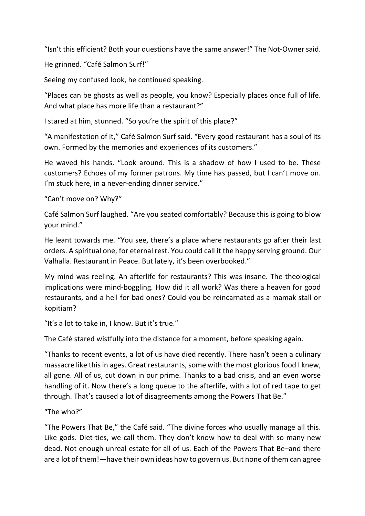"Isn't this efficient? Both your questions have the same answer!" The Not-Ownersaid.

He grinned. "Café Salmon Surf!"

Seeing my confused look, he continued speaking.

"Places can be ghosts as well as people, you know? Especially places once full of life. And what place has more life than a restaurant?"

I stared at him, stunned. "So you're the spirit of this place?"

"A manifestation of it," Café Salmon Surf said. "Every good restaurant has a soul of its own. Formed by the memories and experiences of its customers."

He waved his hands. "Look around. This is a shadow of how I used to be. These customers? Echoes of my former patrons. My time has passed, but I can't move on. I'm stuck here, in a never-ending dinner service."

"Can't move on? Why?"

Café Salmon Surf laughed. "Are you seated comfortably? Because this is going to blow your mind."

He leant towards me. "You see, there's a place where restaurants go after their last orders. A spiritual one, for eternal rest. You could call it the happy serving ground. Our Valhalla. Restaurant in Peace. But lately, it's been overbooked."

My mind was reeling. An afterlife for restaurants? This was insane. The theological implications were mind-boggling. How did it all work? Was there a heaven for good restaurants, and a hell for bad ones? Could you be reincarnated as a mamak stall or kopitiam?

"It's a lot to take in, I know. But it's true."

The Café stared wistfully into the distance for a moment, before speaking again.

"Thanks to recent events, a lot of us have died recently. There hasn't been a culinary massacre like this in ages. Great restaurants, some with the most glorious food I knew, all gone. All of us, cut down in our prime. Thanks to a bad crisis, and an even worse handling of it. Now there's a long queue to the afterlife, with a lot of red tape to get through. That's caused a lot of disagreements among the Powers That Be."

"The who?"

"The Powers That Be," the Café said. "The divine forces who usually manage all this. Like gods. Diet-ties, we call them. They don't know how to deal with so many new dead. Not enough unreal estate for all of us. Each of the Powers That Be—and there are a lot of them!—have their own ideas how to govern us. But none of them can agree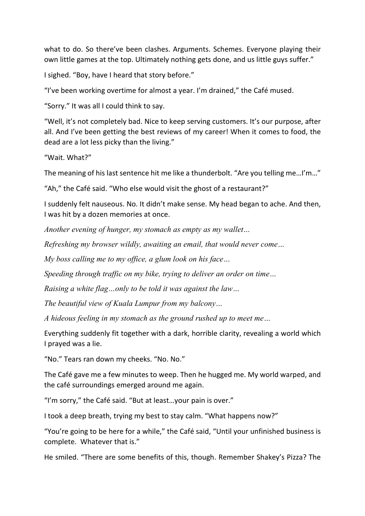what to do. So there've been clashes. Arguments. Schemes. Everyone playing their own little games at the top. Ultimately nothing gets done, and us little guys suffer."

I sighed. "Boy, have I heard that story before."

"I've been working overtime for almost a year. I'm drained," the Café mused.

"Sorry." It was all I could think to say.

"Well, it's not completely bad. Nice to keep serving customers. It's our purpose, after all. And I've been getting the best reviews of my career! When it comes to food, the dead are a lot less picky than the living."

"Wait. What?"

The meaning of his last sentence hit me like a thunderbolt. "Are you telling me…I'm…"

"Ah," the Café said. "Who else would visit the ghost of a restaurant?"

I suddenly felt nauseous. No. It didn't make sense. My head began to ache. And then, I was hit by a dozen memories at once.

*Another evening of hunger, my stomach as empty as my wallet…*

*Refreshing my browser wildly, awaiting an email, that would never come…*

*My boss calling me to my office, a glum look on his face…*

*Speeding through traffic on my bike, trying to deliver an order on time…*

*Raising a white flag…only to be told it was against the law…*

*The beautiful view of Kuala Lumpur from my balcony…*

*A hideous feeling in my stomach as the ground rushed up to meet me…*

Everything suddenly fit together with a dark, horrible clarity, revealing a world which I prayed was a lie.

"No." Tears ran down my cheeks. "No. No."

The Café gave me a few minutes to weep. Then he hugged me. My world warped, and the café surroundings emerged around me again.

"I'm sorry," the Café said. "But at least…your pain is over."

I took a deep breath, trying my best to stay calm. "What happens now?"

"You're going to be here for a while," the Café said, "Until your unfinished business is complete. Whatever that is."

He smiled. "There are some benefits of this, though. Remember Shakey's Pizza? The